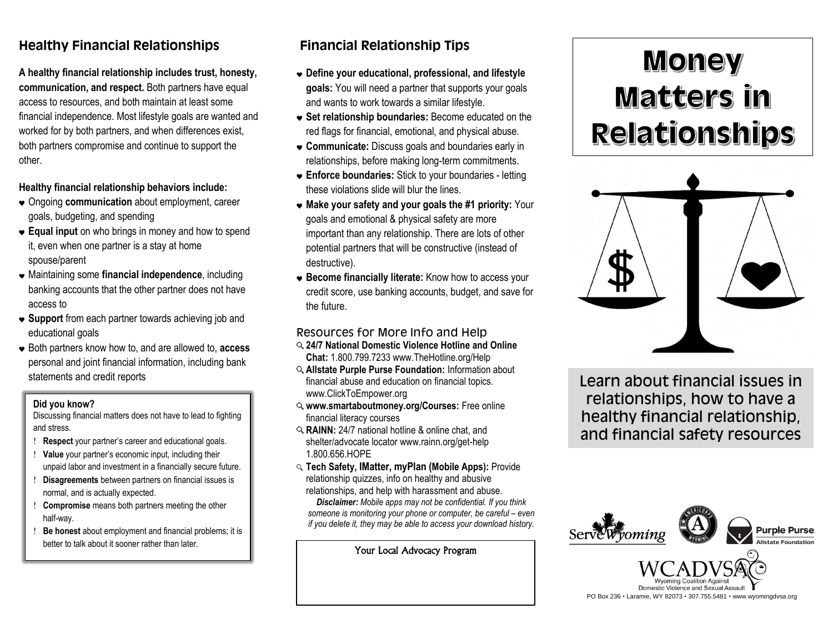## **Healthy Financial Relationships**

**A healthy financial relationship includes trust, honesty, communication, and respect.** Both partners have equal access to resources, and both maintain at least some financial independence. Most lifestyle goals are wanted and worked for by both partners, and when differences exist, both partners compromise and continue to support the other.

#### **Healthy financial relationship behaviors include:**

- Ongoing **communication** about employment, career goals, budgeting, and spending
- **Equal input** on who brings in money and how to spend it, even when one partner is a stay at home spouse/parent
- Maintaining some **financial independence**, including banking accounts that the other partner does not have access to
- **Support** from each partner towards achieving job and educational goals
- Both partners know how to, and are allowed to, **access** personal and joint financial information, including bank statements and credit reports

#### **Did you know?**

Discussing financial matters does not have to lead to fighting and stress.

- **Respect** your partner's career and educational goals.
- **Value** your partner's economic input, including their unpaid labor and investment in a financially secure future.
- **Disagreements** between partners on financial issues is normal, and is actually expected.
- **Compromise** means both partners meeting the other half-way.
- **Be honest** about employment and financial problems; it is better to talk about it sooner rather than later.

# **Financial Relationship Tips**

- **Define your educational, professional, and lifestyle goals:** You will need a partner that supports your goals and wants to work towards a similar lifestyle.
- **Set relationship boundaries:** Become educated on the red flags for financial, emotional, and physical abuse.
- **Communicate:** Discuss goals and boundaries early in relationships, before making long-term commitments.
- **Enforce boundaries:** Stick to your boundaries letting these violations slide will blur the lines.
- **Make your safety and your goals the #1 priority:** Your goals and emotional & physical safety are more important than any relationship. There are lots of other potential partners that will be constructive (instead of destructive).
- **Become financially literate:** Know how to access your credit score, use banking accounts, budget, and save for the future.

## Resources for More Info and Help

- **24/7 National Domestic Violence Hotline and Online Chat:** 1.800.799.7233 www.TheHotline.org/Help
- **Allstate Purple Purse Foundation:** Information about financial abuse and education on financial topics. www.ClickToEmpower.org
- **www.smartaboutmoney.org/Courses:** Free online financial literacy courses
- **RAINN:** 24/7 national hotline & online chat, and shelter/advocate locator www.rainn.org/get-help 1.800.656.HOPE
- **Tech Safety, IMatter, myPlan (Mobile Apps):** Provide relationship quizzes, info on healthy and abusive relationships, and help with harassment and abuse.

*Disclaimer: Mobile apps may not be confidential. If you think someone is monitoring your phone or computer, be careful – even if you delete it, they may be able to access your download history.*

Your Local Advocacy Program

# **Money** Matters in **Relationships**



Learn about financial issues in relationships, how to have a healthy financial relationship, and financial safety resources